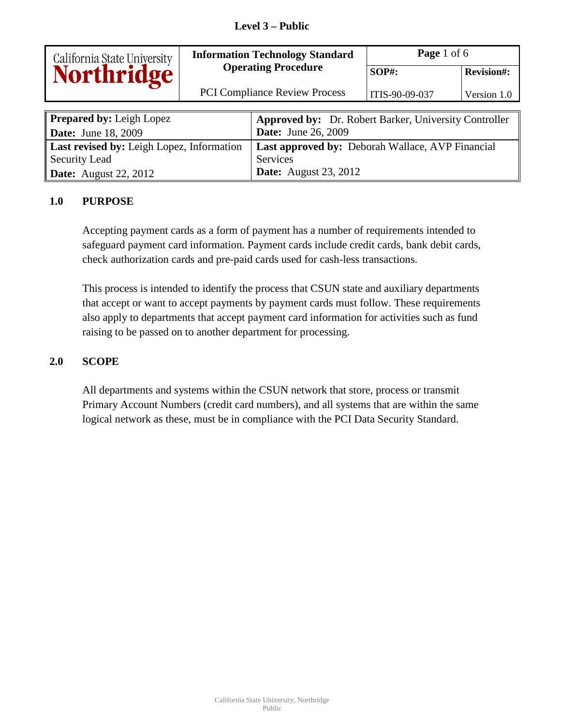# **Level 3 – Public**

|                                           | <b>Information Technology Standard</b> |                                                              | Page 1 of 6    |                   |
|-------------------------------------------|----------------------------------------|--------------------------------------------------------------|----------------|-------------------|
| California State University<br>Northridge |                                        | <b>Operating Procedure</b>                                   | $SOP#$ :       | <b>Revision#:</b> |
|                                           | <b>PCI Compliance Review Process</b>   |                                                              | ITIS-90-09-037 | Version 1.0       |
|                                           |                                        |                                                              |                |                   |
| <b>Prepared by: Leigh Lopez</b>           |                                        | <b>Approved by:</b> Dr. Robert Barker, University Controller |                |                   |
| <b>Date:</b> June 18, 2009                |                                        | <b>Date:</b> June 26, 2009                                   |                |                   |
| Last revised by: Leigh Lopez, Information |                                        | <b>Last approved by: Deborah Wallace, AVP Financial</b>      |                |                   |
| <b>Security Lead</b>                      |                                        | <b>Services</b>                                              |                |                   |
| <b>Date:</b> August 22, 2012              |                                        | <b>Date:</b> August 23, 2012                                 |                |                   |

#### **1.0 PURPOSE**

Accepting payment cards as a form of payment has a number of requirements intended to safeguard payment card information. Payment cards include credit cards, bank debit cards, check authorization cards and pre-paid cards used for cash-less transactions.

This process is intended to identify the process that CSUN state and auxiliary departments that accept or want to accept payments by payment cards must follow. These requirements also apply to departments that accept payment card information for activities such as fund raising to be passed on to another department for processing.

#### **2.0 SCOPE**

All departments and systems within the CSUN network that store, process or transmit Primary Account Numbers (credit card numbers), and all systems that are within the same logical network as these, must be in compliance with the PCI Data Security Standard.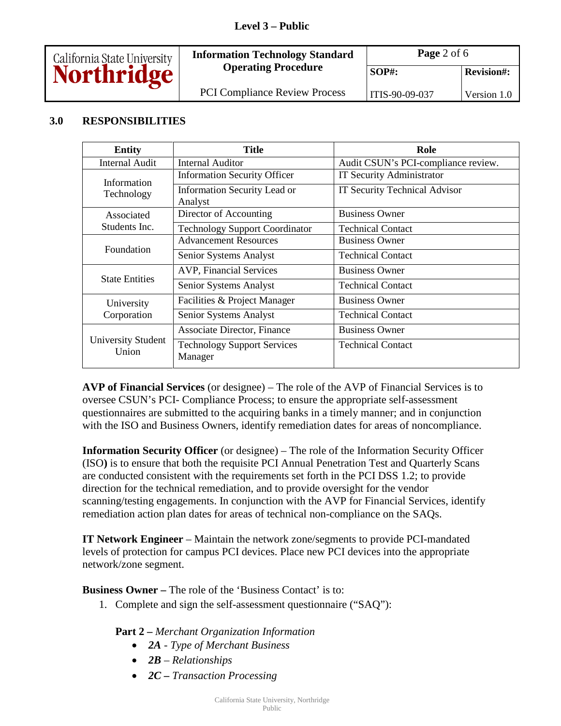# **Level 3 – Public**



# **3.0 RESPONSIBILITIES**

| <b>Entity</b>               | Title                                         | Role                                 |
|-----------------------------|-----------------------------------------------|--------------------------------------|
| <b>Internal Audit</b>       | <b>Internal Auditor</b>                       | Audit CSUN's PCI-compliance review.  |
| Information                 | <b>Information Security Officer</b>           | <b>IT Security Administrator</b>     |
| Technology                  | Information Security Lead or<br>Analyst       | <b>IT Security Technical Advisor</b> |
| Associated                  | Director of Accounting                        | <b>Business Owner</b>                |
| Students Inc.               | <b>Technology Support Coordinator</b>         | <b>Technical Contact</b>             |
| Foundation                  | <b>Advancement Resources</b>                  | <b>Business Owner</b>                |
|                             | Senior Systems Analyst                        | <b>Technical Contact</b>             |
|                             | <b>AVP, Financial Services</b>                | <b>Business Owner</b>                |
| <b>State Entities</b>       | Senior Systems Analyst                        | <b>Technical Contact</b>             |
| University                  | Facilities & Project Manager                  | <b>Business Owner</b>                |
| Corporation                 | Senior Systems Analyst                        | <b>Technical Contact</b>             |
| University Student<br>Union | <b>Associate Director, Finance</b>            | <b>Business Owner</b>                |
|                             | <b>Technology Support Services</b><br>Manager | <b>Technical Contact</b>             |

**AVP of Financial Services** (or designee) – The role of the AVP of Financial Services is to oversee CSUN's PCI- Compliance Process; to ensure the appropriate self-assessment questionnaires are submitted to the acquiring banks in a timely manner; and in conjunction with the ISO and Business Owners, identify remediation dates for areas of noncompliance.

**Information Security Officer** (or designee) – The role of the Information Security Officer (ISO**)** is to ensure that both the requisite PCI Annual Penetration Test and Quarterly Scans are conducted consistent with the requirements set forth in the PCI DSS 1.2; to provide direction for the technical remediation, and to provide oversight for the vendor scanning/testing engagements. In conjunction with the AVP for Financial Services, identify remediation action plan dates for areas of technical non-compliance on the SAQs.

**IT Network Engineer** – Maintain the network zone/segments to provide PCI-mandated levels of protection for campus PCI devices. Place new PCI devices into the appropriate network/zone segment.

**Business Owner –** The role of the 'Business Contact' is to:

1. Complete and sign the self-assessment questionnaire ("SAQ"):

#### **Part 2 –** *Merchant Organization Information*

- *2A Type of Merchant Business*
- *2B Relationships*
- *2C Transaction Processing*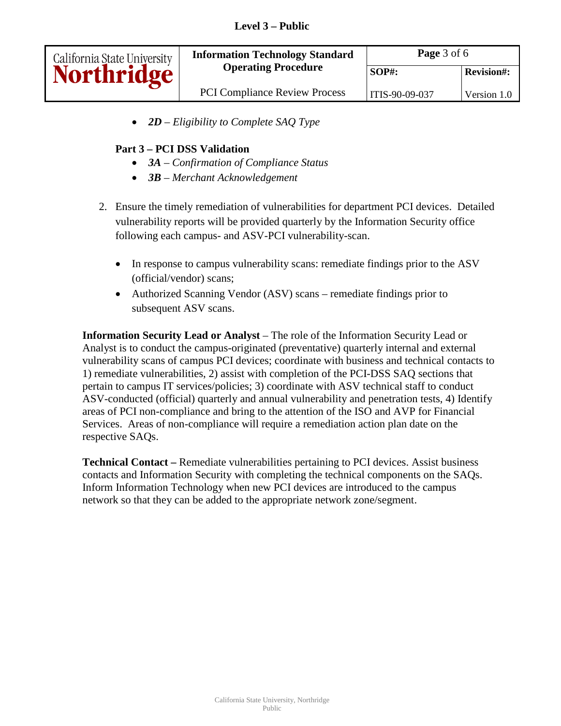| California State University | <b>Information Technology Standard</b><br><b>Operating Procedure</b> | Page 3 of 6    |                   |
|-----------------------------|----------------------------------------------------------------------|----------------|-------------------|
|                             |                                                                      | <b>SOP#:</b>   | <b>Revision#:</b> |
|                             | <b>PCI Compliance Review Process</b>                                 | ITIS-90-09-037 | Version 1.0       |

• *2D – Eligibility to Complete SAQ Type*

# **Part 3 – PCI DSS Validation**

- *3A Confirmation of Compliance Status*
- *3B Merchant Acknowledgement*
- 2. Ensure the timely remediation of vulnerabilities for department PCI devices. Detailed vulnerability reports will be provided quarterly by the Information Security office following each campus- and ASV-PCI vulnerability-scan.
	- In response to campus vulnerability scans: remediate findings prior to the ASV (official/vendor) scans;
	- Authorized Scanning Vendor (ASV) scans remediate findings prior to subsequent ASV scans.

**Information Security Lead or Analyst** – The role of the Information Security Lead or Analyst is to conduct the campus-originated (preventative) quarterly internal and external vulnerability scans of campus PCI devices; coordinate with business and technical contacts to 1) remediate vulnerabilities, 2) assist with completion of the PCI-DSS SAQ sections that pertain to campus IT services/policies; 3) coordinate with ASV technical staff to conduct ASV-conducted (official) quarterly and annual vulnerability and penetration tests, 4) Identify areas of PCI non-compliance and bring to the attention of the ISO and AVP for Financial Services. Areas of non-compliance will require a remediation action plan date on the respective SAQs.

**Technical Contact –** Remediate vulnerabilities pertaining to PCI devices. Assist business contacts and Information Security with completing the technical components on the SAQs. Inform Information Technology when new PCI devices are introduced to the campus network so that they can be added to the appropriate network zone/segment.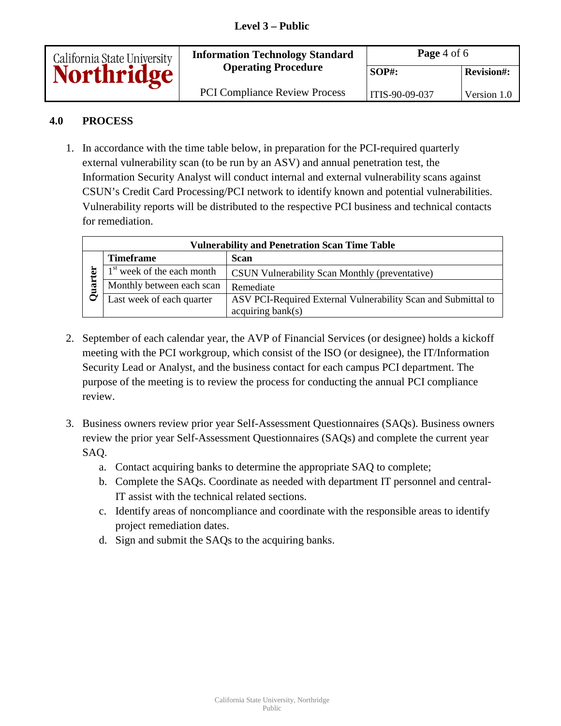| California State University<br><b>Northridge</b> | <b>Information Technology Standard</b> | Page $4$ of $6$ |                   |
|--------------------------------------------------|----------------------------------------|-----------------|-------------------|
|                                                  | <b>Operating Procedure</b>             | $SOP#$ :        | <b>Revision#:</b> |
|                                                  | <b>PCI Compliance Review Process</b>   | ITIS-90-09-037  | Version 1.0       |

# **4.0 PROCESS**

1. In accordance with the time table below, in preparation for the PCI-required quarterly external vulnerability scan (to be run by an ASV) and annual penetration test, the Information Security Analyst will conduct internal and external vulnerability scans against CSUN's Credit Card Processing/PCI network to identify known and potential vulnerabilities. Vulnerability reports will be distributed to the respective PCI business and technical contacts for remediation.

| <b>Vulnerability and Penetration Scan Time Table</b> |                              |                                                               |  |
|------------------------------------------------------|------------------------------|---------------------------------------------------------------|--|
|                                                      | <b>Timeframe</b>             | Scan                                                          |  |
|                                                      | $1st$ week of the each month | <b>CSUN Vulnerability Scan Monthly (preventative)</b>         |  |
| æ                                                    | Monthly between each scan    | Remediate                                                     |  |
|                                                      | Last week of each quarter    | ASV PCI-Required External Vulnerability Scan and Submittal to |  |
|                                                      |                              | acquiring bank(s)                                             |  |

- 2. September of each calendar year, the AVP of Financial Services (or designee) holds a kickoff meeting with the PCI workgroup, which consist of the ISO (or designee), the IT/Information Security Lead or Analyst, and the business contact for each campus PCI department. The purpose of the meeting is to review the process for conducting the annual PCI compliance review.
- 3. Business owners review prior year Self-Assessment Questionnaires (SAQs). Business owners review the prior year Self-Assessment Questionnaires (SAQs) and complete the current year SAQ.
	- a. Contact acquiring banks to determine the appropriate SAQ to complete;
	- b. Complete the SAQs. Coordinate as needed with department IT personnel and central-IT assist with the technical related sections.
	- c. Identify areas of noncompliance and coordinate with the responsible areas to identify project remediation dates.
	- d. Sign and submit the SAQs to the acquiring banks.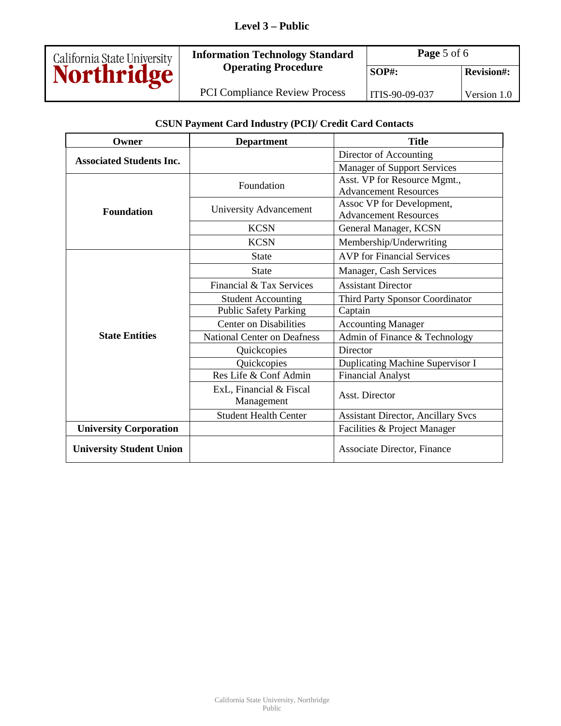# **Level 3 – Public**



**Information Technology Standard Page 5 of 6** 

PCI Compliance Review Process | ITIS-90-09-037 Version 1.0

**CSUN Payment Card Industry (PCI)/ Credit Card Contacts**

| Owner                           | <b>Department</b>                  | <b>Title</b>                              |
|---------------------------------|------------------------------------|-------------------------------------------|
| <b>Associated Students Inc.</b> |                                    | Director of Accounting                    |
|                                 |                                    | <b>Manager of Support Services</b>        |
|                                 | Foundation                         | Asst. VP for Resource Mgmt.,              |
|                                 |                                    | <b>Advancement Resources</b>              |
| <b>Foundation</b>               | University Advancement             | Assoc VP for Development,                 |
|                                 |                                    | <b>Advancement Resources</b>              |
|                                 | <b>KCSN</b>                        | General Manager, KCSN                     |
|                                 | <b>KCSN</b>                        | Membership/Underwriting                   |
|                                 | <b>State</b>                       | <b>AVP</b> for Financial Services         |
|                                 | <b>State</b>                       | Manager, Cash Services                    |
|                                 | Financial & Tax Services           | <b>Assistant Director</b>                 |
|                                 | <b>Student Accounting</b>          | Third Party Sponsor Coordinator           |
|                                 | <b>Public Safety Parking</b>       | Captain                                   |
|                                 | <b>Center on Disabilities</b>      | <b>Accounting Manager</b>                 |
| <b>State Entities</b>           | <b>National Center on Deafness</b> | Admin of Finance & Technology             |
|                                 | Quickcopies                        | Director                                  |
|                                 | Quickcopies                        | Duplicating Machine Supervisor I          |
|                                 | Res Life & Conf Admin              | <b>Financial Analyst</b>                  |
|                                 | ExL, Financial & Fiscal            | Asst. Director                            |
|                                 | Management                         |                                           |
|                                 | <b>Student Health Center</b>       | <b>Assistant Director, Ancillary Svcs</b> |
| <b>University Corporation</b>   |                                    | Facilities & Project Manager              |
| <b>University Student Union</b> |                                    | Associate Director, Finance               |